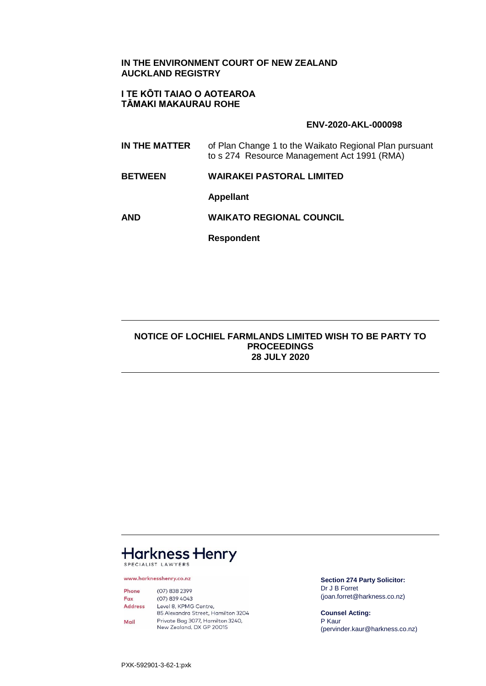### **IN THE ENVIRONMENT COURT OF NEW ZEALAND AUCKLAND REGISTRY**

### **I TE KŌTI TAIAO O AOTEAROA TĀMAKI MAKAURAU ROHE**

#### **ENV-2020-AKL-000098**

- **IN THE MATTER** of Plan Change 1 to the Waikato Regional Plan pursuant to s 274 Resource Management Act 1991 (RMA)
- **BETWEEN WAIRAKEI PASTORAL LIMITED**

**Appellant**

**AND WAIKATO REGIONAL COUNCIL**

**Respondent**

### **NOTICE OF LOCHIEL FARMLANDS LIMITED WISH TO BE PARTY TO PROCEEDINGS 28 JULY 2020**

# **Harkness Henry** SPECIALIST LAWYERS

www.harknesshenry.co.nz

 $(07) 838 2399$ Phone  $(07)$  839 4043 Fax **Address** Level 8, KPMG Centre, 85 Alexandra Street, Hamilton 3204 Private Bag 3077, Hamilton 3240, Mail New Zealand, DX GP 20015

**Section 274 Party Solicitor:** Dr J B Forret (joan.forret@harkness.co.nz)

**Counsel Acting:** P Kaur (pervinder.kaur@harkness.co.nz)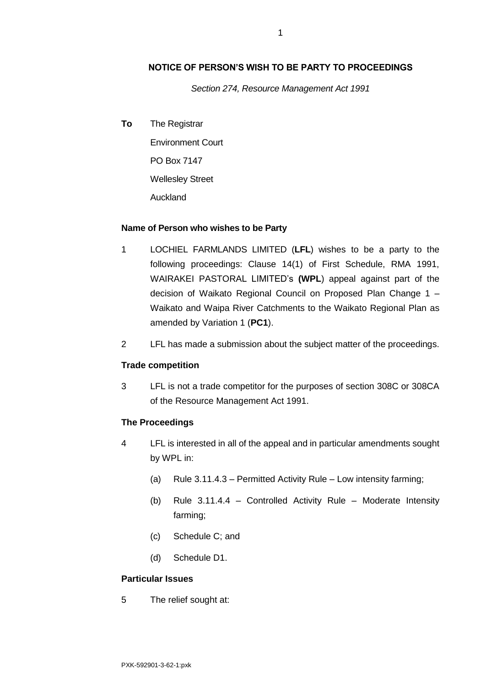## **NOTICE OF PERSON'S WISH TO BE PARTY TO PROCEEDINGS**

*Section 274, Resource Management Act 1991*

**To** The Registrar

Environment Court PO Box 7147 Wellesley Street Auckland

#### **Name of Person who wishes to be Party**

- 1 LOCHIEL FARMLANDS LIMITED (**LFL**) wishes to be a party to the following proceedings: Clause 14(1) of First Schedule, RMA 1991, WAIRAKEI PASTORAL LIMITED's **(WPL**) appeal against part of the decision of Waikato Regional Council on Proposed Plan Change 1 – Waikato and Waipa River Catchments to the Waikato Regional Plan as amended by Variation 1 (**PC1**).
- 2 LFL has made a submission about the subject matter of the proceedings.

#### **Trade competition**

3 LFL is not a trade competitor for the purposes of section 308C or 308CA of the Resource Management Act 1991.

### **The Proceedings**

- 4 LFL is interested in all of the appeal and in particular amendments sought by WPL in:
	- (a) Rule 3.11.4.3 Permitted Activity Rule Low intensity farming;
	- (b) Rule 3.11.4.4 Controlled Activity Rule Moderate Intensity farming;
	- (c) Schedule C; and
	- (d) Schedule D1.

#### **Particular Issues**

5 The relief sought at: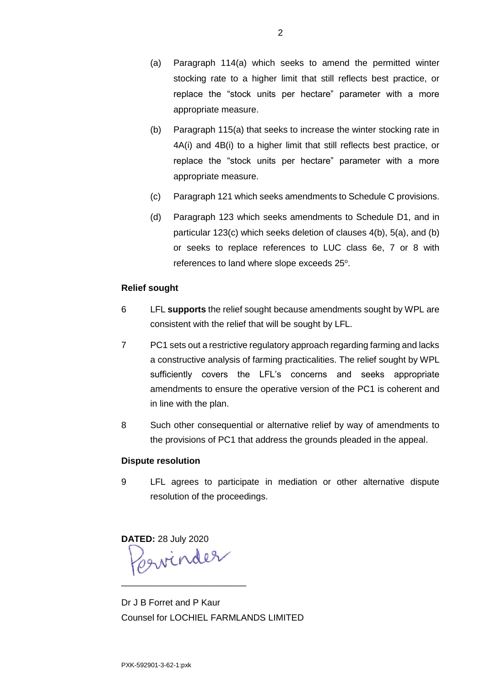- (a) Paragraph 114(a) which seeks to amend the permitted winter stocking rate to a higher limit that still reflects best practice, or replace the "stock units per hectare" parameter with a more appropriate measure.
- (b) Paragraph 115(a) that seeks to increase the winter stocking rate in 4A(i) and 4B(i) to a higher limit that still reflects best practice, or replace the "stock units per hectare" parameter with a more appropriate measure.
- (c) Paragraph 121 which seeks amendments to Schedule C provisions.
- (d) Paragraph 123 which seeks amendments to Schedule D1, and in particular 123(c) which seeks deletion of clauses 4(b), 5(a), and (b) or seeks to replace references to LUC class 6e, 7 or 8 with references to land where slope exceeds 25°.

### **Relief sought**

- 6 LFL **supports** the relief sought because amendments sought by WPL are consistent with the relief that will be sought by LFL.
- 7 PC1 sets out a restrictive regulatory approach regarding farming and lacks a constructive analysis of farming practicalities. The relief sought by WPL sufficiently covers the LFL's concerns and seeks appropriate amendments to ensure the operative version of the PC1 is coherent and in line with the plan.
- 8 Such other consequential or alternative relief by way of amendments to the provisions of PC1 that address the grounds pleaded in the appeal.

#### **Dispute resolution**

9 LFL agrees to participate in mediation or other alternative dispute resolution of the proceedings.

**DATED:** 28 July 2020 \_\_\_\_\_\_\_\_\_\_\_\_\_\_\_\_\_\_\_\_\_\_\_\_\_

Dr J B Forret and P Kaur Counsel for LOCHIEL FARMLANDS LIMITED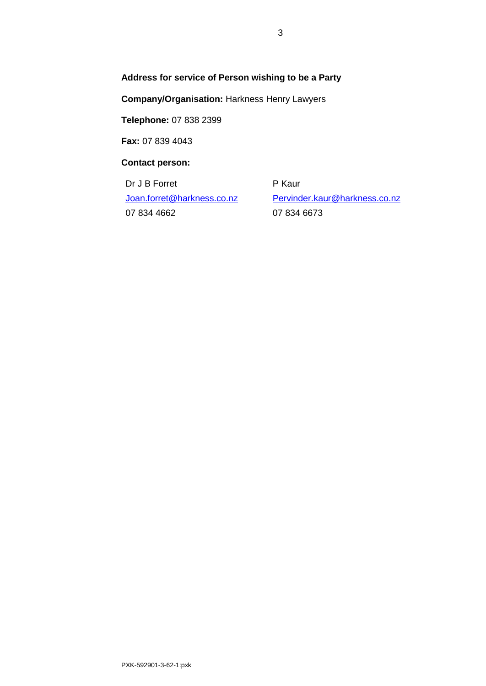# **Address for service of Person wishing to be a Party**

**Company/Organisation:** Harkness Henry Lawyers

**Telephone:** 07 838 2399

**Fax:** 07 839 4043

**Contact person:** 

Dr J B Forret [Joan.forret@harkness.co.nz](mailto:Joan.forret@harkness.co.nz) 07 834 4662

P Kaur [Pervinder.kaur@harkness.co.nz](mailto:Pervinder.kaur@harkness.co.nz) 07 834 6673